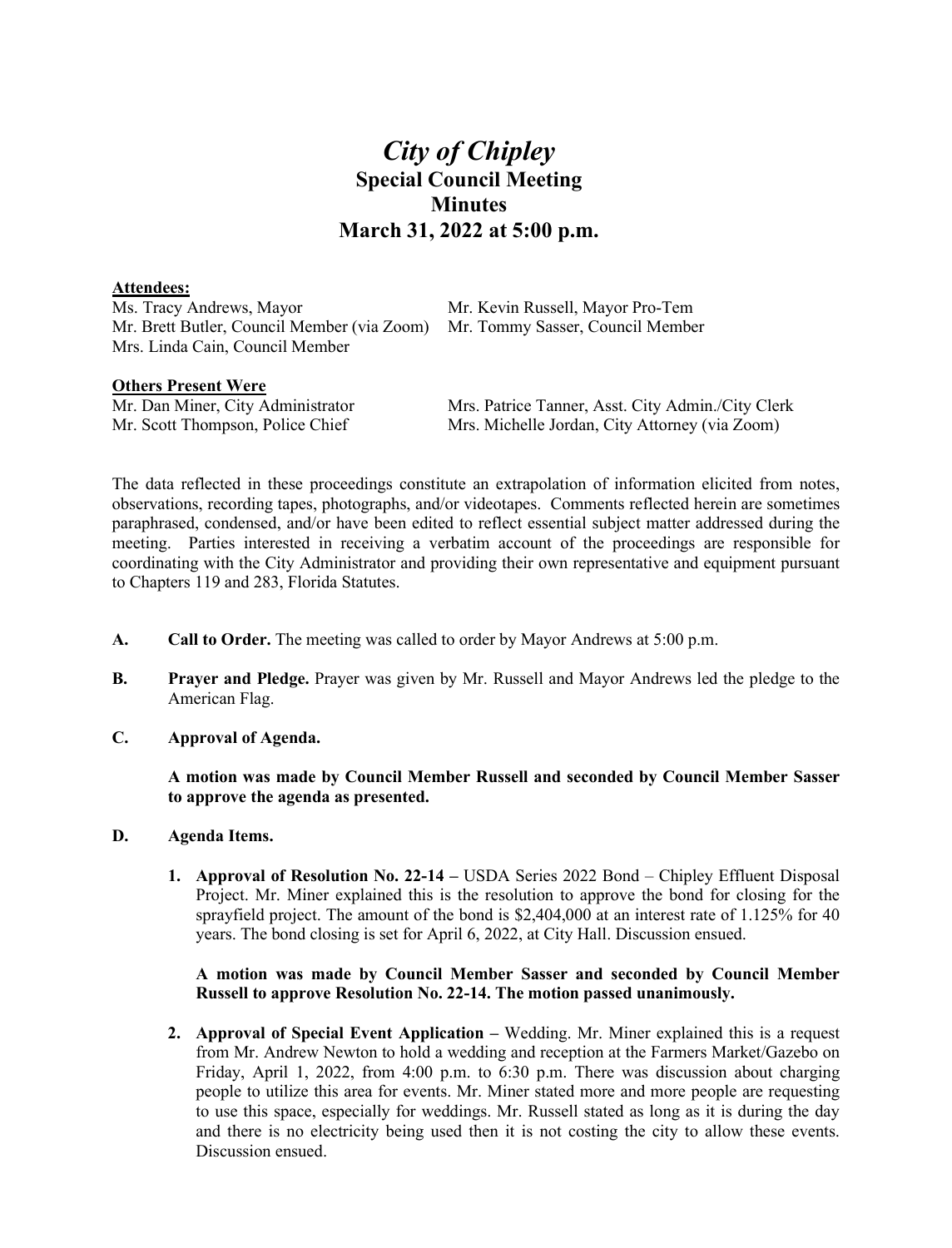# *City of Chipley* **Special Council Meeting Minutes March 31, 2022 at 5:00 p.m.**

### **Attendees:**

Ms. Tracy Andrews, Mayor Mr. Kevin Russell, Mayor Pro-Tem Mr. Brett Butler, Council Member (via Zoom) Mr. Tommy Sasser, Council Member Mrs. Linda Cain, Council Member

**Others Present Were**<br>Mr. Dan Miner, City Administrator

Mrs. Patrice Tanner, Asst. City Admin./City Clerk Mr. Scott Thompson, Police Chief Mrs. Michelle Jordan, City Attorney (via Zoom)

The data reflected in these proceedings constitute an extrapolation of information elicited from notes, observations, recording tapes, photographs, and/or videotapes. Comments reflected herein are sometimes paraphrased, condensed, and/or have been edited to reflect essential subject matter addressed during the meeting. Parties interested in receiving a verbatim account of the proceedings are responsible for coordinating with the City Administrator and providing their own representative and equipment pursuant to Chapters 119 and 283, Florida Statutes.

- **A. Call to Order.** The meeting was called to order by Mayor Andrews at 5:00 p.m.
- **B. Prayer and Pledge.** Prayer was given by Mr. Russell and Mayor Andrews led the pledge to the American Flag.
- **C. Approval of Agenda.**

**A motion was made by Council Member Russell and seconded by Council Member Sasser to approve the agenda as presented.**

- **D. Agenda Items.**
	- **1. Approval of Resolution No. 22-14 –** USDA Series 2022 Bond Chipley Effluent Disposal Project. Mr. Miner explained this is the resolution to approve the bond for closing for the sprayfield project. The amount of the bond is \$2,404,000 at an interest rate of 1.125% for 40 years. The bond closing is set for April 6, 2022, at City Hall. Discussion ensued.

### **A motion was made by Council Member Sasser and seconded by Council Member Russell to approve Resolution No. 22-14. The motion passed unanimously.**

**2. Approval of Special Event Application –** Wedding. Mr. Miner explained this is a request from Mr. Andrew Newton to hold a wedding and reception at the Farmers Market/Gazebo on Friday, April 1, 2022, from 4:00 p.m. to 6:30 p.m. There was discussion about charging people to utilize this area for events. Mr. Miner stated more and more people are requesting to use this space, especially for weddings. Mr. Russell stated as long as it is during the day and there is no electricity being used then it is not costing the city to allow these events. Discussion ensued.